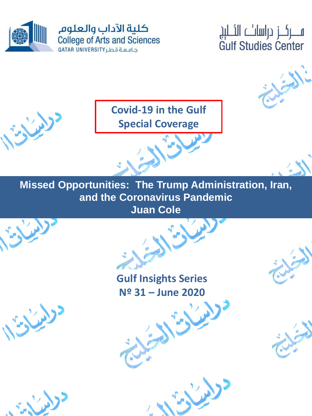



**Covid-19 in the Gulf Special Coverage**





**Gulf Insights Series Nº 31 – June 2020**



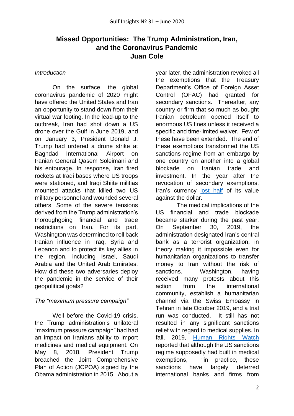# **Missed Opportunities: The Trump Administration, Iran, and the Coronavirus Pandemic Juan Cole**

### *Introduction*

On the surface, the global coronavirus pandemic of 2020 might have offered the United States and Iran an opportunity to stand down from their virtual war footing. In the lead-up to the outbreak, Iran had shot down a US drone over the Gulf in June 2019, and on January 3, President Donald J. Trump had ordered a drone strike at Baghdad International Airport on Iranian General Qasem Soleimani and his entourage. In response, Iran fired rockets at Iraqi bases where US troops were stationed, and Iraqi Shiite militias mounted attacks that killed two US military personnel and wounded several others. Some of the severe tensions derived from the Trump administration's thoroughgoing financial and trade restrictions on Iran. For its part, Washington was determined to roll back Iranian influence in Iraq, Syria and Lebanon and to protect its key allies in the region, including Israel, Saudi Arabia and the United Arab Emirates. How did these two adversaries deploy the pandemic in the service of their geopolitical goals?

### *The "maximum pressure campaign"*

Well before the Covid-19 crisis, the Trump administration's unilateral "maximum pressure campaign" had had an impact on Iranians ability to import medicines and medical equipment. On May 8, 2018, President Trump breached the Joint Comprehensive Plan of Action (JCPOA) signed by the Obama administration in 2015. About a year later, the administration revoked all the exemptions that the Treasury Department's Office of Foreign Asset Control (OFAC) had granted for secondary sanctions. Thereafter, any country or firm that so much as bought Iranian petroleum opened itself to enormous US fines unless it received a specific and time-limited waiver. Few of these have been extended. The end of these exemptions transformed the US sanctions regime from an embargo by one country on another into a global blockade on Iranian trade and investment. In the year after the revocation of secondary exemptions, Iran's currency [lost half](https://www.lexology.com/library/detail.aspx?g=3d71750b-9f78-4a75-8717-94ceaeb819fe) of its value against the dollar.

 The medical implications of the US financial and trade blockade became starker during the past year. On September 30, 2019, the administration designated Iran's central bank as a terrorist organization, in theory making it impossible even for humanitarian organizations to transfer money to Iran without the risk of sanctions. Washington, having received many protests about this action from the international community, establish a humanitarian channel via the Swiss Embassy in Tehran in late October 2019, and a trial run was conducted. It still has not resulted in any significant sanctions relief with regard to medical supplies. In fall, 2019, [Human Rights Watch](https://www.hrw.org/report/2019/10/29/maximum-pressure/us-economic-sanctions-harm-iranians-right-health) reported that although the US sanctions regime supposedly had built in medical exemptions, "in practice, these sanctions have largely deterred international banks and firms from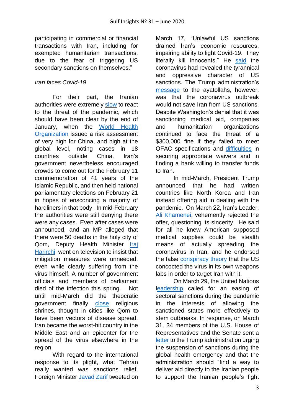participating in commercial or financial transactions with Iran, including for exempted humanitarian transactions, due to the fear of triggering US secondary sanctions on themselves."

## *Iran faces Covid-19*

For their part, the Iranian authorities were extremely [slow](https://www.newyorker.com/news/our-columnists/how-iran-became-a-new-epicenter-of-the-coronavirus-outbreak) to react to the threat of the pandemic, which should have been clear by the end of January, when the [World Health](https://www.who.int/news-room/detail/27-04-2020-who-timeline---covid-19)  [Organization](https://www.who.int/news-room/detail/27-04-2020-who-timeline---covid-19) issued a risk assessment of very high for China, and high at the global level, noting cases in 18 countries outside China. Iran's government nevertheless encouraged crowds to come out for the February 11 commemoration of 41 years of the Islamic Republic, and then held national parliamentary elections on February 21 in hopes of ensconcing a majority of hardliners in that body. In mid-February the authorities were still denying there were any cases. Even after cases were announced, and an MP alleged that there were 50 deaths in the holy city of Qom, Deputy Health Minister Iraj [Harirchi](https://www.france24.com/en/20200224-iran-denies-virus-coverup-and-claim-of-50-deaths) went on television to insist that mitigation measures were unneeded. even while clearly suffering from the virus himself. A number of government officials and members of parliament died of the infection this spring. Not until mid-March did the theocratic government finally [close](https://apnews.com/73378b9cdecef66ec5ae74af1ec52c63) religious shrines, thought in cities like Qom to have been vectors of disease spread. Iran became the worst-hit country in the Middle East and an epicenter for the spread of the virus elsewhere in the region.

With regard to the international response to its plight, what Tehran really wanted was sanctions relief. Foreign Minister [Javad Zarif](https://twitter.com/jzarif/status/1239884712090439681?lang=en) tweeted on March 17, "Unlawful US sanctions drained Iran's economic resources, impairing ability to fight Covid-19. They literally kill innocents." He [said](https://www.irna.ir/news/83720461/%D8%B8%D8%B1%DB%8C%D9%81-%DA%A9%D8%B1%D9%88%D9%86%D8%A7-%D8%AD%D9%82%DB%8C%D9%82%D8%AA-%D8%AA%D8%AD%D8%B1%DB%8C%D9%85-%D9%87%D8%A7%DB%8C-%D8%B8%D8%A7%D9%84%D9%85%D8%A7%D9%86%D9%87-%D8%B1%D8%A7-%D8%A8%D8%B1%D8%AC%D9%87%D8%A7%D9%86-%D8%A2%D8%B4%DA%A9%D8%A7%D8%B1-%DA%A9%D8%B1%D8%AF) the coronavirus had revealed the tyrannical and oppressive character of US sanctions. The Trump administration's [message](https://www.reuters.com/article/us-health-coronavirus-iran-usa/us-to-iran-coronavirus-wont-save-you-from-sanctions-idUSKBN21712L) to the ayatollahs, however, was that the coronavirus outbreak would not save Iran from US sanctions. Despite Washington's denial that it was sanctioning medical aid, companies and humanitarian organizations continued to face the threat of a \$300,000 fine if they failed to meet OFAC specifications and [difficulties](https://www.natlawreview.com/article/sanctions-considerations-companies-and-ngos-exporting-supplies-to-iran) in securing appropriate waivers and in finding a bank willing to transfer funds to Iran.

In mid-March, President Trump announced that he had written countries like North Korea and Iran instead offering aid in dealing with the pandemic. On March 22, Iran's Leader, [Ali Khamenei,](https://iranprimer.usip.org/blog/2020/mar/23/khamenei-refuses-us-help-covid-19) vehemently rejected the offer, questioning its sincerity. He said for all he knew American supposed medical supplies could be stealth means of actually spreading the coronavirus in Iran, and he endorsed the false [conspiracy theory](https://www.khabaronline.ir/news/1367856/%DA%A9%D8%B1%D9%88%D9%86%D8%A7-%DA%86%D8%B1%D8%A7-%D8%A2%D9%85%D8%B1%DB%8C%DA%A9%D8%A7-%D9%85%D8%AA%D9%87%D9%85-%D8%A7%D8%B3%D8%AA) that the US concocted the virus in its own weapons labs in order to target Iran with it.

On March 29, the United Nations [leadership](https://www.tehrantimes.com/news/446362/UN-chief-urges-rolling-back-sanctions-to-contain-coronavirus) called for an easing of sectoral sanctions during the pandemic in the interests of allowing the sanctioned states more effectively to stem outbreaks. In response, on March 31, 34 members of the U.S. House of Representatives and the Senate sent a [letter](https://huffman.house.gov/media-center/press-releases/house-and-senate-members-call-on-president-trump-to-end-sanctions-against-iran-during-covid-19) to the Trump administration urging the suspension of sanctions during the global health emergency and that the administration should "find a way to deliver aid directly to the Iranian people to support the Iranian people's fight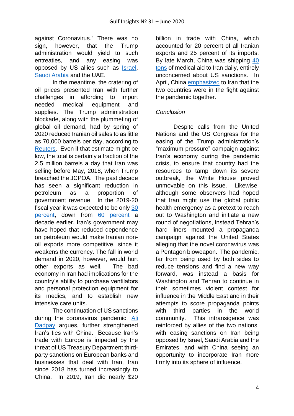against Coronavirus." There was no sign, however, that the Trump administration would yield to such entreaties, and any easing was opposed by US allies such as [Israel,](https://www.haaretz.com/israel-news/.premium-in-coronavirus-shadow-israel-and-iran-wage-a-diplomatic-battle-over-sanctions-1.8833329) [Saudi Arabia](https://www.middleeasteye.net/news/coronavirus-iran-slams-saudi-arabia-bahrain-yemen-morocco-us-sanctions) and the UAE.

In the meantime, the cratering of oil prices presented Iran with further challenges in affording to import needed medical equipment and supplies. The Trump administration blockade, along with the plummeting of global oil demand, had by spring of 2020 reduced Iranian oil sales to as little as 70,000 barrels per day, according to [Reuters.](https://www.reuters.com/article/us-iran-oil/hit-by-coronavirus-and-trump-irans-oil-exports-dwindle-to-record-low-idUSKBN22Q0U3) Even if that estimate might be low, the total is certainly a fraction of the 2.5 million barrels a day that Iran was selling before May, 2018, when Trump breached the JCPOA. The past decade has seen a significant reduction in petroleum as a proportion of government revenue. In the 2019-20 fiscal year it was expected to be only [30](https://www.atlanticcouncil.org/blogs/iransource/iran-s-crude-oil-exports-what-minimum-is-enough-to-stay-afloat/)  [percent,](https://www.atlanticcouncil.org/blogs/iransource/iran-s-crude-oil-exports-what-minimum-is-enough-to-stay-afloat/) down from [60 percent](https://iranprimer.usip.org/resource/oil-and-gas-industry) a decade earlier. Iran's government may have hoped that reduced dependence on petroleum would make Iranian nonoil exports more competitive, since it weakens the currency. The fall in world demand in 2020, however, would hurt other exports as well. The bad economy in Iran had implications for the country's ability to purchase ventilators and personal protection equipment for its medics, and to establish new intensive care units.

The continuation of US sanctions during the coronavirus pandemic, [Ali](https://www.atlanticcouncil.org/blogs/iransource/how-the-coronavirus-is-cementing-irans-tilt-towards-china/)  [Dadpay](https://www.atlanticcouncil.org/blogs/iransource/how-the-coronavirus-is-cementing-irans-tilt-towards-china/) argues, further strengthened Iran's ties with China. Because Iran's trade with Europe is impeded by the threat of US Treasury Department thirdparty sanctions on European banks and businesses that deal with Iran, Iran since 2018 has turned increasingly to China. In 2019, Iran did nearly \$20 billion in trade with China, which accounted for 20 percent of all Iranian exports and 25 percent of its imports. By late March, China was shipping [40](https://iranprimer.usip.org/blog/2020/apr/07/dozens-countries-send-covid-19-aid-iran)  [tons](https://iranprimer.usip.org/blog/2020/apr/07/dozens-countries-send-covid-19-aid-iran) of medical aid to Iran daily, entirely unconcerned about US sanctions. In April, China [emphasized](http://www.isna.ir/news/99011809712/%D9%85%D8%A8%D8%A7%D8%B1%D8%B2%D9%87-%D9%85%D8%B4%D8%AA%D8%B1%DA%A9-%D8%A7%DB%8C%D8%B1%D8%A7%D9%86-%D9%88-%DA%86%DB%8C%D9%86-%D8%A8%D8%A7-%DA%A9%D8%B1%D9%88%D9%86%D8%A7) to Iran that the two countries were in the fight against the pandemic together.

### *Conclusion*

Despite calls from the United Nations and the US Congress for the easing of the Trump administration's "maximum pressure" campaign against Iran's economy during the pandemic crisis, to ensure that country had the resources to tamp down its severe outbreak, the White House proved unmovable on this issue. Likewise, although some observers had hoped that Iran might use the global public health emergency as a pretext to reach out to Washington and initiate a new round of negotiations, instead Tehran's hard liners mounted a propaganda campaign against the United States alleging that the novel coronavirus was a Pentagon bioweapon. The pandemic, far from being used by both sides to reduce tensions and find a new way forward, was instead a basis for Washington and Tehran to continue in their sometimes violent contest for influence in the Middle East and in their attempts to score propaganda points with third parties in the world community. This intransigence was reinforced by allies of the two nations, with easing sanctions on Iran being opposed by Israel, Saudi Arabia and the Emirates, and with China seeing an opportunity to incorporate Iran more firmly into its sphere of influence.